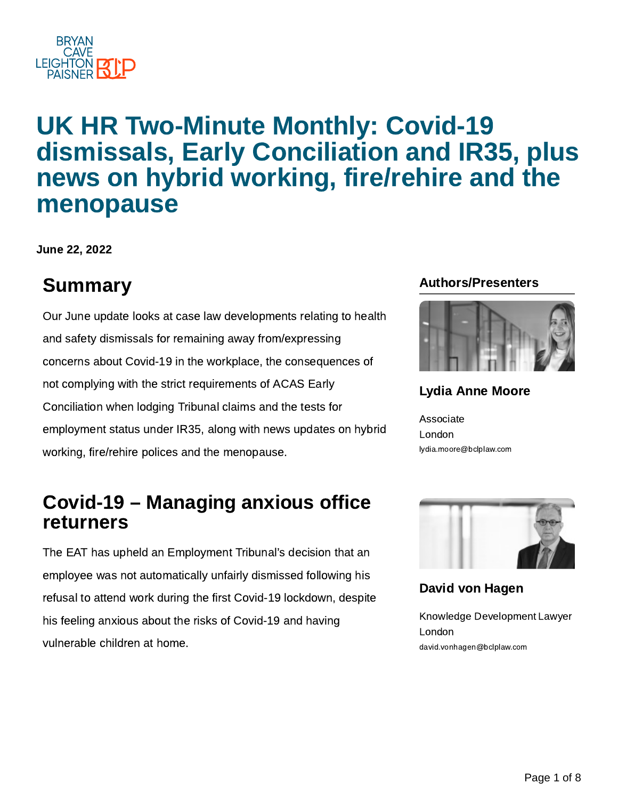

# UK HR Two-Minute Monthly: Covid-19 dismissals, Early Conciliation and IR35, plus news on hybrid working, fire/rehire and the menopause

June 22, 2022

# Summary **Authors/Presenters Summary**

Our June update looks at case law developments relating to health and safety dismissals for remaining away from/expressing concerns about Covid-19 in the workplace, the consequences of not complying with the strict requirements of ACAS Early Conciliation when lodging Tribunal claims and the tests for employment status under IR35, along with news updates on hybrid working, fire/rehire polices and the menopause.

## Covid-19 – Managing anxious office returners

The EAT has upheld an Employment Tribunal's decision that an employee was not automatically unfairly dismissed following his refusal to attend work during the first Covid-19 lockdown, despite his feeling anxious about the risks of Covid-19 and having vulnerable children at home.



### Lydia Anne [Moore](https://www.bclplaw.com/en-US/people/lydia-moore.html)

Associate London lydia.moore@bclplaw.com



David von [Hagen](https://www.bclplaw.com/en-US/people/david-von-hagen.html)

Knowledge Development Lawyer London david.vonhagen@bclplaw.com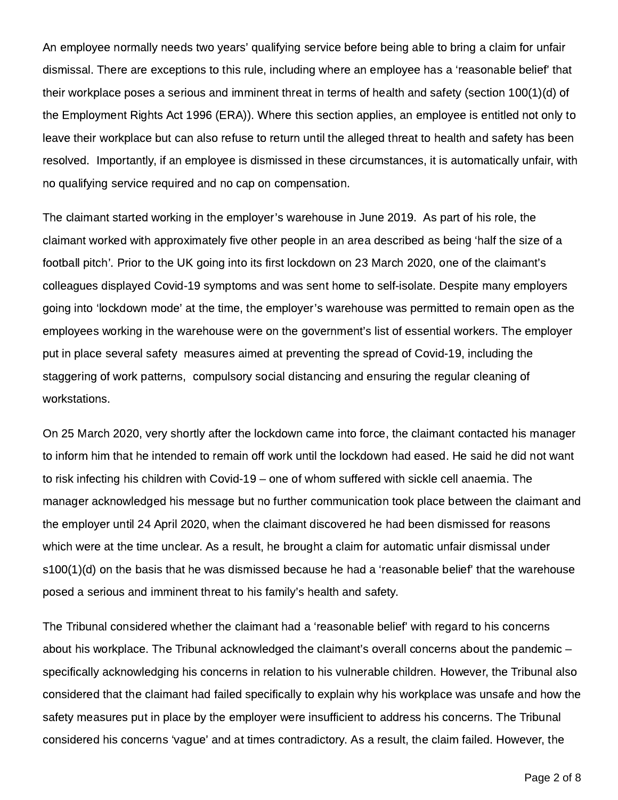An employee normally needs two years' qualifying service before being able to bring a claim for unfair dismissal. There are exceptions to this rule, including where an employee has a 'reasonable belief' that their workplace poses a serious and imminent threat in terms of health and safety (section 100(1)(d) of the Employment Rights Act 1996 (ERA)). Where this section applies, an employee is entitled not only to leave their workplace but can also refuse to return until the alleged threat to health and safety has been resolved. Importantly, if an employee is dismissed in these circumstances, it is automatically unfair, with no qualifying service required and no cap on compensation.

The claimant started working in the employer's warehouse in June 2019. As part of his role, the claimant worked with approximately five other people in an area described as being 'half the size of a football pitch'. Prior to the UK going into its first lockdown on 23 March 2020, one of the claimant's colleagues displayed Covid-19 symptoms and was sent home to self-isolate. Despite many employers going into 'lockdown mode' at the time, the employer's warehouse was permitted to remain open as the employees working in the warehouse were on the government's list of essential workers. The employer put in place several safety measures aimed at preventing the spread of Covid-19, including the staggering of work patterns, compulsory social distancing and ensuring the regular cleaning of workstations.

On 25 March 2020, very shortly after the lockdown came into force, the claimant contacted his manager to inform him that he intended to remain off work until the lockdown had eased. He said he did not want to risk infecting his children with Covid-19 – one of whom suffered with sickle cell anaemia. The manager acknowledged his message but no further communication took place between the claimant and the employer until 24 April 2020, when the claimant discovered he had been dismissed for reasons which were at the time unclear. As a result, he brought a claim for automatic unfair dismissal under s100(1)(d) on the basis that he was dismissed because he had a 'reasonable belief' that the warehouse posed a serious and imminent threat to his family's health and safety.

The Tribunal considered whether the claimant had a 'reasonable belief' with regard to his concerns about his workplace. The Tribunal acknowledged the claimant's overall concerns about the pandemic – specifically acknowledging his concerns in relation to his vulnerable children. However, the Tribunal also considered that the claimant had failed specifically to explain why his workplace was unsafe and how the safety measures put in place by the employer were insufficient to address his concerns. The Tribunal considered his concerns 'vague' and at times contradictory. As a result, the claim failed. However, the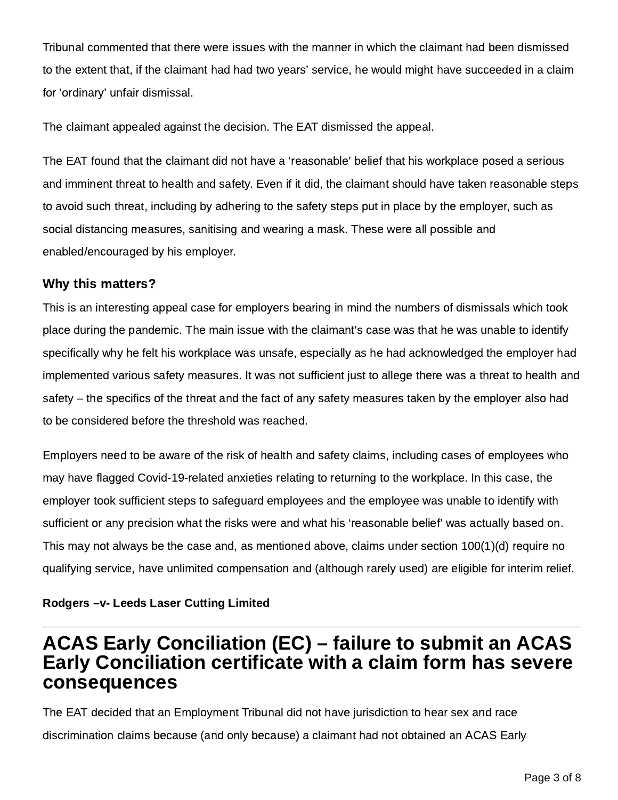Tribunal commented that there were issues with the manner in which the claimant had been dismissed to the extent that, if the claimant had had two years' service, he would might have succeeded in a claim for 'ordinary' unfair dismissal.

The claimant appealed against the decision. The EAT dismissed the appeal.

The EAT found that the claimant did not have a 'reasonable' belief that his workplace posed a serious and imminent threat to health and safety. Even if it did, the claimant should have taken reasonable steps to avoid such threat, including by adhering to the safety steps put in place by the employer, such as social distancing measures, sanitising and wearing a mask. These were all possible and enabled/encouraged by his employer.

### Why this matters?

This is an interesting appeal case for employers bearing in mind the numbers of dismissals which took place during the pandemic. The main issue with the claimant's case was that he was unable to identify specifically why he felt his workplace was unsafe, especially as he had acknowledged the employer had implemented various safety measures. It was not sufficient just to allege there was a threat to health and safety – the specifics of the threat and the fact of any safety measures taken by the employer also had to be considered before the threshold was reached.

Employers need to be aware of the risk of health and safety claims, including cases of employees who may have flagged Covid-19-related anxieties relating to returning to the workplace. In this case, the employer took sufficient steps to safeguard employees and the employee was unable to identify with sufficient or any precision what the risks were and what his 'reasonable belief' was actually based on. This may not always be the case and, as mentioned above, claims under section 100(1)(d) require no qualifying service, have unlimited compensation and (although rarely used) are eligible for interim relief.

#### Rodgers –v- Leeds Laser Cutting Limited

### ACAS Early Conciliation (EC) – failure to submit an ACAS Early Conciliation certificate with a claim form has severe consequences

The EAT decided that an Employment Tribunal did not have jurisdiction to hear sex and race discrimination claims because (and only because) a claimant had not obtained an ACAS Early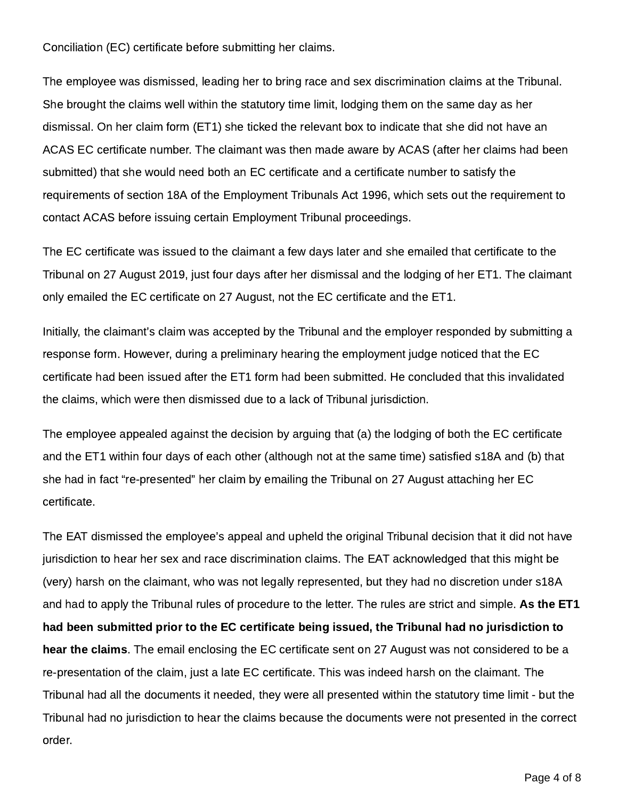#### Conciliation (EC) certificate before submitting her claims.

The employee was dismissed, leading her to bring race and sex discrimination claims at the Tribunal. She brought the claims well within the statutory time limit, lodging them on the same day as her dismissal. On her claim form (ET1) she ticked the relevant box to indicate that she did not have an ACAS EC certificate number. The claimant was then made aware by ACAS (after her claims had been submitted) that she would need both an EC certificate and a certificate number to satisfy the requirements of section 18A of the Employment Tribunals Act 1996, which sets out the requirement to contact ACAS before issuing certain Employment Tribunal proceedings.

The EC certificate was issued to the claimant a few days later and she emailed that certificate to the Tribunal on 27 August 2019, just four days after her dismissal and the lodging of her ET1. The claimant only emailed the EC certificate on 27 August, not the EC certificate and the ET1.

Initially, the claimant's claim was accepted by the Tribunal and the employer responded by submitting a response form. However, during a preliminary hearing the employment judge noticed that the EC certificate had been issued after the ET1 form had been submitted. He concluded that this invalidated the claims, which were then dismissed due to a lack of Tribunal jurisdiction.

The employee appealed against the decision by arguing that (a) the lodging of both the EC certificate and the ET1 within four days of each other (although not at the same time) satisfied s18A and (b) that she had in fact "re-presented" her claim by emailing the Tribunal on 27 August attaching her EC certificate.

The EAT dismissed the employee's appeal and upheld the original Tribunal decision that it did not have jurisdiction to hear her sex and race discrimination claims. The EAT acknowledged that this might be (very) harsh on the claimant, who was not legally represented, but they had no discretion under s18A and had to apply the Tribunal rules of procedure to the letter. The rules are strict and simple. As the ET1 had been submitted prior to the EC certificate being issued, the Tribunal had no jurisdiction to hear the claims. The email enclosing the EC certificate sent on 27 August was not considered to be a re-presentation of the claim, just a late EC certificate. This was indeed harsh on the claimant. The Tribunal had all the documents it needed, they were all presented within the statutory time limit - but the Tribunal had no jurisdiction to hear the claims because the documents were not presented in the correct order.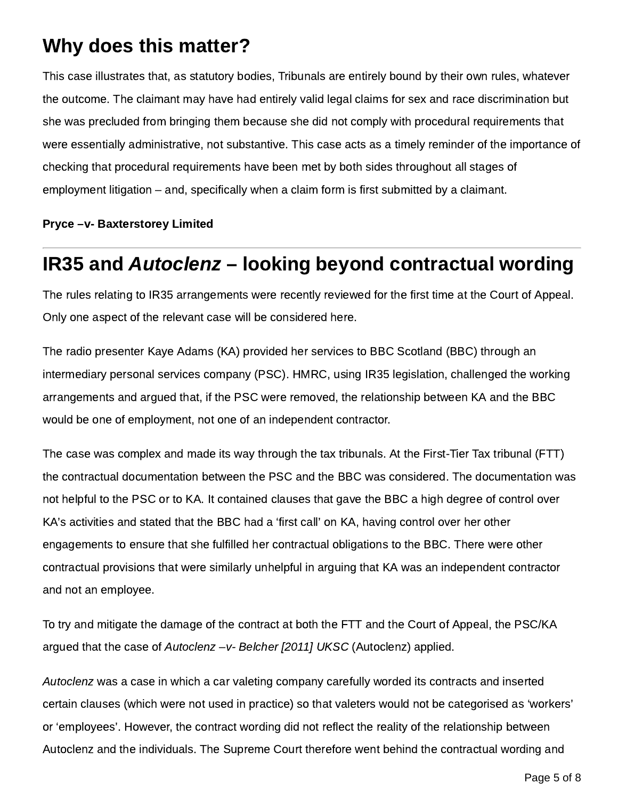# Why does this matter?

This case illustrates that, as statutory bodies, Tribunals are entirely bound by their own rules, whatever the outcome. The claimant may have had entirely valid legal claims for sex and race discrimination but she was precluded from bringing them because she did not comply with procedural requirements that were essentially administrative, not substantive. This case acts as a timely reminder of the importance of checking that procedural requirements have been met by both sides throughout all stages of employment litigation – and, specifically when a claim form is first submitted by a claimant.

#### Pryce –v- Baxterstorey Limited

# IR35 and Autoclenz – looking beyond contractual wording

The rules relating to IR35 arrangements were recently reviewed for the first time at the Court of Appeal. Only one aspect of the relevant case will be considered here.

The radio presenter Kaye Adams (KA) provided her services to BBC Scotland (BBC) through an intermediary personal services company (PSC). HMRC, using IR35 legislation, challenged the working arrangements and argued that, if the PSC were removed, the relationship between KA and the BBC would be one of employment, not one of an independent contractor.

The case was complex and made its way through the tax tribunals. At the First-Tier Tax tribunal (FTT) the contractual documentation between the PSC and the BBC was considered. The documentation was not helpful to the PSC or to KA. It contained clauses that gave the BBC a high degree of control over KA's activities and stated that the BBC had a 'first call' on KA, having control over her other engagements to ensure that she fulfilled her contractual obligations to the BBC. There were other contractual provisions that were similarly unhelpful in arguing that KA was an independent contractor and not an employee.

To try and mitigate the damage of the contract at both the FTT and the Court of Appeal, the PSC/KA argued that the case of Autoclenz –v- Belcher [2011] UKSC (Autoclenz) applied.

Autoclenz was a case in which a car valeting company carefully worded its contracts and inserted certain clauses (which were not used in practice) so that valeters would not be categorised as 'workers' or 'employees'. However, the contract wording did not reflect the reality of the relationship between Autoclenz and the individuals. The Supreme Court therefore went behind the contractual wording and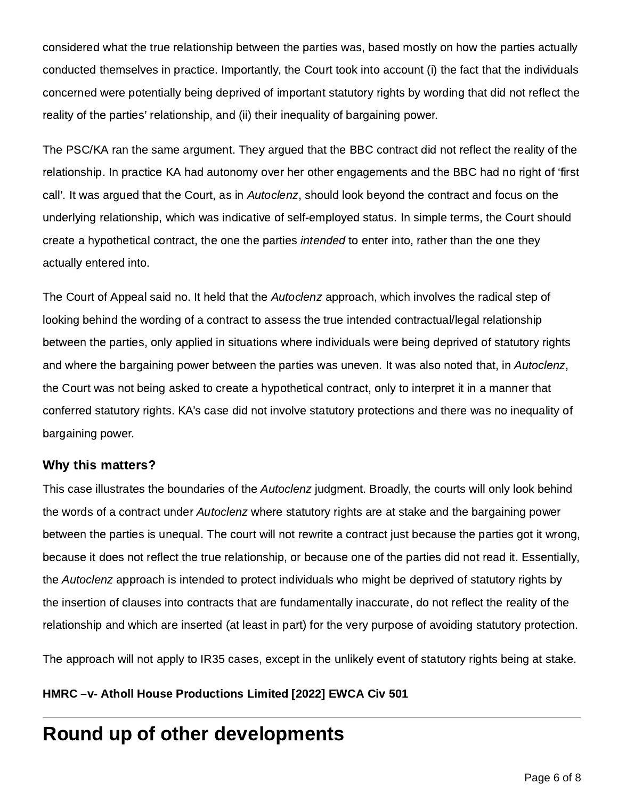considered what the true relationship between the parties was, based mostly on how the parties actually conducted themselves in practice. Importantly, the Court took into account (i) the fact that the individuals concerned were potentially being deprived of important statutory rights by wording that did not reflect the reality of the parties' relationship, and (ii) their inequality of bargaining power.

The PSC/KA ran the same argument. They argued that the BBC contract did not reflect the reality of the relationship. In practice KA had autonomy over her other engagements and the BBC had no right of 'first call'. It was argued that the Court, as in Autoclenz, should look beyond the contract and focus on the underlying relationship, which was indicative of self-employed status. In simple terms, the Court should create a hypothetical contract, the one the parties *intended* to enter into, rather than the one they actually entered into.

The Court of Appeal said no. It held that the Autoclenz approach, which involves the radical step of looking behind the wording of a contract to assess the true intended contractual/legal relationship between the parties, only applied in situations where individuals were being deprived of statutory rights and where the bargaining power between the parties was uneven. It was also noted that, in Autoclenz, the Court was not being asked to create a hypothetical contract, only to interpret it in a manner that conferred statutory rights. KA's case did not involve statutory protections and there was no inequality of bargaining power.

#### Why this matters?

This case illustrates the boundaries of the Autoclenz judgment. Broadly, the courts will only look behind the words of a contract under Autoclenz where statutory rights are at stake and the bargaining power between the parties is unequal. The court will not rewrite a contract just because the parties got it wrong, because it does not reflect the true relationship, or because one of the parties did not read it. Essentially, the Autoclenz approach is intended to protect individuals who might be deprived of statutory rights by the insertion of clauses into contracts that are fundamentally inaccurate, do not reflect the reality of the relationship and which are inserted (at least in part) for the very purpose of avoiding statutory protection.

The approach will not apply to IR35 cases, except in the unlikely event of statutory rights being at stake.

HMRC –v- Atholl House Productions Limited [2022] EWCA Civ 501

# Round up of other developments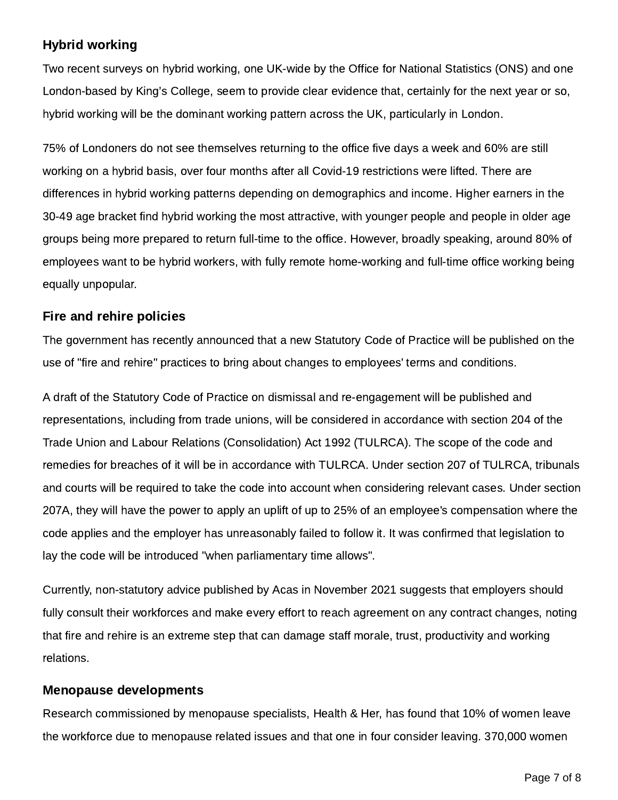### Hybrid working

Two recent surveys on hybrid working, one UK-wide by the Office for National Statistics (ONS) and one London-based by King's College, seem to provide clear evidence that, certainly for the next year or so, hybrid working will be the dominant working pattern across the UK, particularly in London.

75% of Londoners do not see themselves returning to the office five days a week and 60% are still working on a hybrid basis, over four months after all Covid-19 restrictions were lifted. There are differences in hybrid working patterns depending on demographics and income. Higher earners in the 30-49 age bracket find hybrid working the most attractive, with younger people and people in older age groups being more prepared to return full-time to the office. However, broadly speaking, around 80% of employees want to be hybrid workers, with fully remote home-working and full-time office working being equally unpopular.

### Fire and rehire policies

The government has recently announced that a new Statutory Code of Practice will be published on the use of "fire and rehire" practices to bring about changes to employees' terms and conditions.

A draft of the Statutory Code of Practice on dismissal and re-engagement will be published and representations, including from trade unions, will be considered in accordance with section 204 of the Trade Union and Labour Relations (Consolidation) Act 1992 (TULRCA). The scope of the code and remedies for breaches of it will be in accordance with TULRCA. Under section 207 of TULRCA, tribunals and courts will be required to take the code into account when considering relevant cases. Under section 207A, they will have the power to apply an uplift of up to 25% of an employee's compensation where the code applies and the employer has unreasonably failed to follow it. It was confirmed that legislation to lay the code will be introduced "when parliamentary time allows".

Currently, non-statutory advice published by Acas in November 2021 suggests that employers should fully consult their workforces and make every effort to reach agreement on any contract changes, noting that fire and rehire is an extreme step that can damage staff morale, trust, productivity and working relations.

### Menopause developments

Research commissioned by menopause specialists, Health & Her, has found that 10% of women leave the workforce due to menopause related issues and that one in four consider leaving. 370,000 women